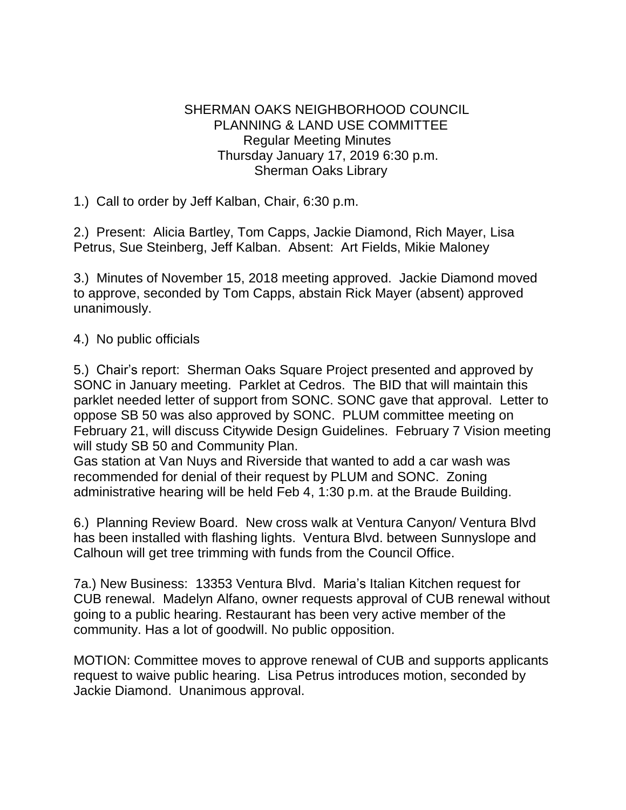## SHERMAN OAKS NEIGHBORHOOD COUNCIL PLANNING & LAND USE COMMITTEE Regular Meeting Minutes Thursday January 17, 2019 6:30 p.m. Sherman Oaks Library

1.) Call to order by Jeff Kalban, Chair, 6:30 p.m.

2.) Present: Alicia Bartley, Tom Capps, Jackie Diamond, Rich Mayer, Lisa Petrus, Sue Steinberg, Jeff Kalban. Absent: Art Fields, Mikie Maloney

3.) Minutes of November 15, 2018 meeting approved. Jackie Diamond moved to approve, seconded by Tom Capps, abstain Rick Mayer (absent) approved unanimously.

4.) No public officials

5.) Chair's report: Sherman Oaks Square Project presented and approved by SONC in January meeting. Parklet at Cedros. The BID that will maintain this parklet needed letter of support from SONC. SONC gave that approval. Letter to oppose SB 50 was also approved by SONC. PLUM committee meeting on February 21, will discuss Citywide Design Guidelines. February 7 Vision meeting will study SB 50 and Community Plan.

Gas station at Van Nuys and Riverside that wanted to add a car wash was recommended for denial of their request by PLUM and SONC. Zoning administrative hearing will be held Feb 4, 1:30 p.m. at the Braude Building.

6.) Planning Review Board. New cross walk at Ventura Canyon/ Ventura Blvd has been installed with flashing lights. Ventura Blvd. between Sunnyslope and Calhoun will get tree trimming with funds from the Council Office.

7a.) New Business: 13353 Ventura Blvd. Maria's Italian Kitchen request for CUB renewal. Madelyn Alfano, owner requests approval of CUB renewal without going to a public hearing. Restaurant has been very active member of the community. Has a lot of goodwill. No public opposition.

MOTION: Committee moves to approve renewal of CUB and supports applicants request to waive public hearing. Lisa Petrus introduces motion, seconded by Jackie Diamond. Unanimous approval.